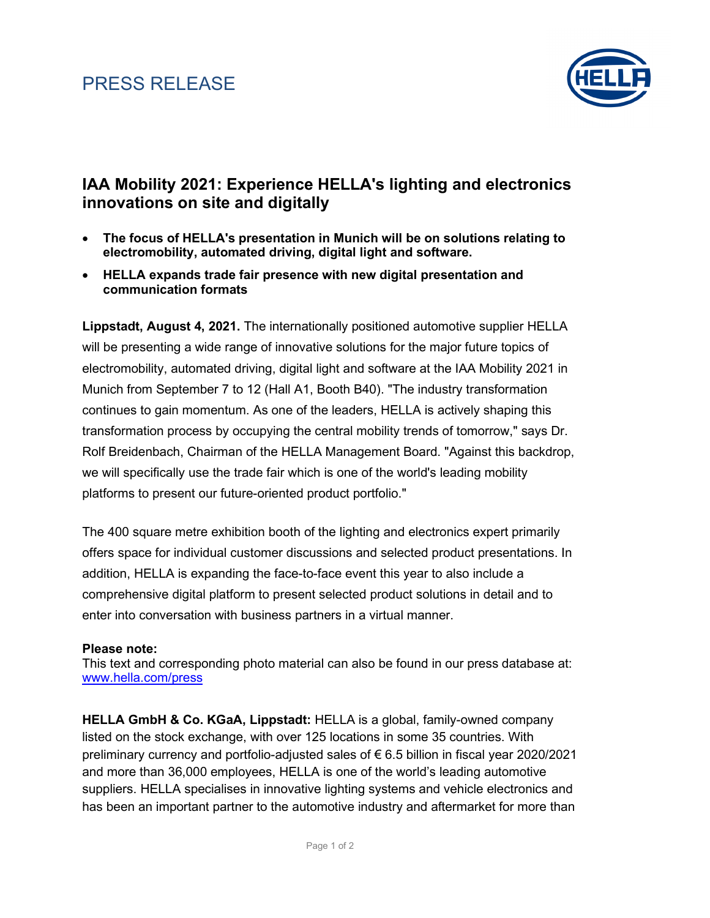## PRESS RELEASE



### **IAA Mobility 2021: Experience HELLA's lighting and electronics innovations on site and digitally**

- **The focus of HELLA's presentation in Munich will be on solutions relating to electromobility, automated driving, digital light and software.**
- **HELLA expands trade fair presence with new digital presentation and communication formats**

**Lippstadt, August 4, 2021.** The internationally positioned automotive supplier HELLA will be presenting a wide range of innovative solutions for the major future topics of electromobility, automated driving, digital light and software at the IAA Mobility 2021 in Munich from September 7 to 12 (Hall A1, Booth B40). "The industry transformation continues to gain momentum. As one of the leaders, HELLA is actively shaping this transformation process by occupying the central mobility trends of tomorrow," says Dr. Rolf Breidenbach, Chairman of the HELLA Management Board. "Against this backdrop, we will specifically use the trade fair which is one of the world's leading mobility platforms to present our future-oriented product portfolio."

The 400 square metre exhibition booth of the lighting and electronics expert primarily offers space for individual customer discussions and selected product presentations. In addition, HELLA is expanding the face-to-face event this year to also include a comprehensive digital platform to present selected product solutions in detail and to enter into conversation with business partners in a virtual manner.

#### **Please note:**

This text and corresponding photo material can also be found in our press database at: [www.hella.com/press](http://www.hella.com/hella-com/7634.html?rdeLocale=en)

**HELLA GmbH & Co. KGaA, Lippstadt:** HELLA is a global, family-owned company listed on the stock exchange, with over 125 locations in some 35 countries. With preliminary currency and portfolio-adjusted sales of € 6.5 billion in fiscal year 2020/2021 and more than 36,000 employees, HELLA is one of the world's leading automotive suppliers. HELLA specialises in innovative lighting systems and vehicle electronics and has been an important partner to the automotive industry and aftermarket for more than